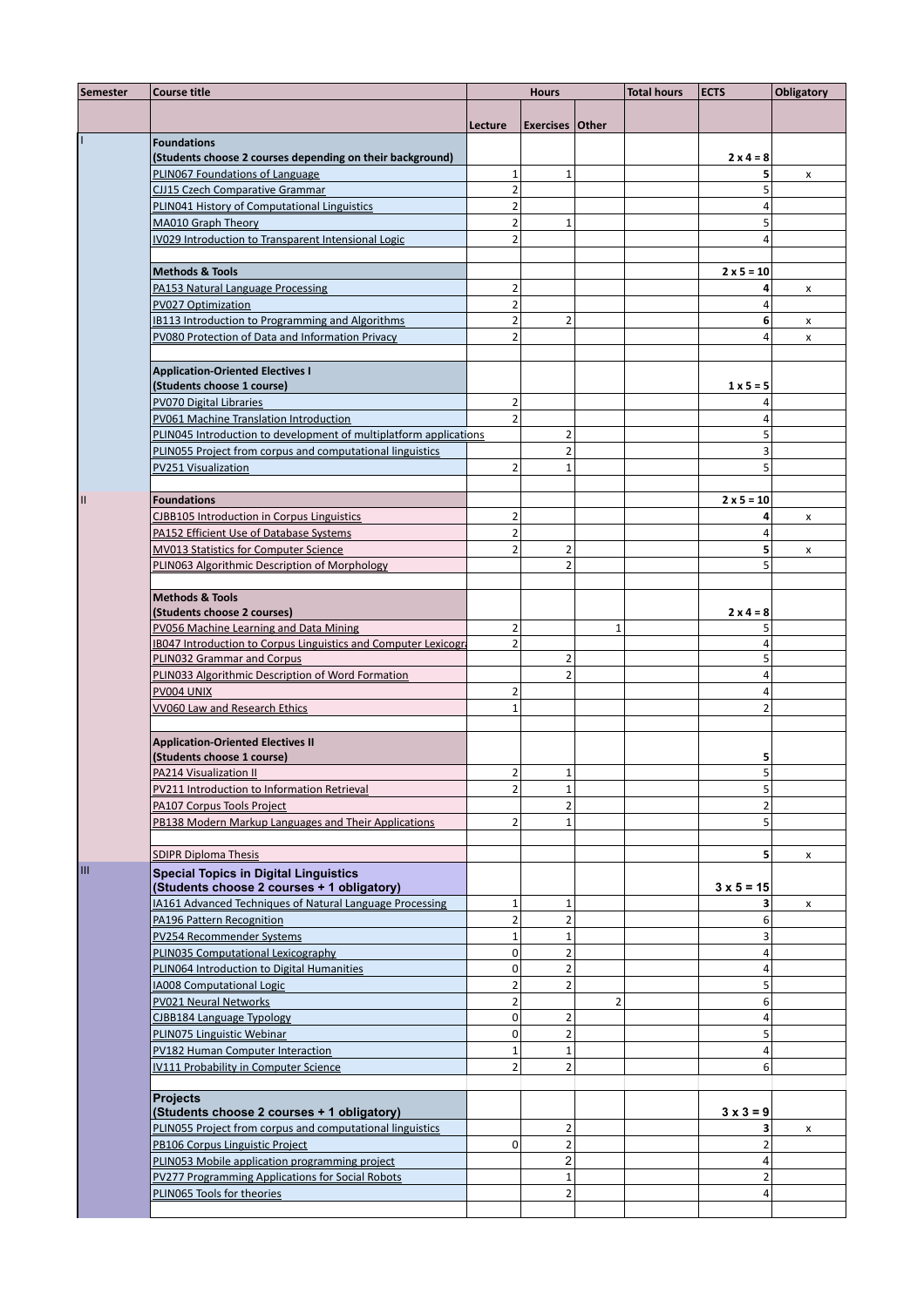| <b>Semester</b> | <b>Course title</b>                                                           | <b>Hours</b>                  |                                |                         | <b>Total hours</b> | <b>ECTS</b>         | <b>Obligatory</b> |
|-----------------|-------------------------------------------------------------------------------|-------------------------------|--------------------------------|-------------------------|--------------------|---------------------|-------------------|
|                 |                                                                               | Lecture                       | <b>Exercises Other</b>         |                         |                    |                     |                   |
|                 | <b>Foundations</b>                                                            |                               |                                |                         |                    |                     |                   |
|                 | (Students choose 2 courses depending on their background)                     |                               |                                |                         |                    | $2x4 = 8$           |                   |
|                 | PLINO67 Foundations of Language                                               | $\mathbf{1}$                  | $\mathbf{1}$                   |                         |                    | 5                   | x                 |
|                 | <b>CJJ15 Czech Comparative Grammar</b>                                        | $\mathbf 2$                   |                                |                         |                    | 5                   |                   |
|                 | PLIN041 History of Computational Linguistics                                  | $\overline{2}$                |                                |                         |                    | 4                   |                   |
|                 | MA010 Graph Theory                                                            | $\mathbf 2$                   | $\mathbf{1}$                   |                         |                    | 5                   |                   |
|                 | IV029 Introduction to Transparent Intensional Logic                           | $\overline{2}$                |                                |                         |                    | 4                   |                   |
|                 |                                                                               |                               |                                |                         |                    |                     |                   |
|                 | <b>Methods &amp; Tools</b>                                                    |                               |                                |                         |                    | $2 × 5 = 10$        |                   |
|                 | PA153 Natural Language Processing                                             | $\overline{2}$<br>$\mathbf 2$ |                                |                         |                    | 4<br>4              | x                 |
|                 | PV027 Optimization<br><b>IB113 Introduction to Programming and Algorithms</b> | $\mathbf 2$                   | $\overline{2}$                 |                         |                    | 6                   |                   |
|                 | PV080 Protection of Data and Information Privacy                              | $\overline{2}$                |                                |                         |                    | 4                   | x<br>X            |
|                 |                                                                               |                               |                                |                         |                    |                     |                   |
|                 | <b>Application-Oriented Electives I</b>                                       |                               |                                |                         |                    |                     |                   |
|                 | (Students choose 1 course)                                                    |                               |                                |                         |                    | $1 \times 5 = 5$    |                   |
|                 | PV070 Digital Libraries                                                       | $\overline{2}$                |                                |                         |                    | 4                   |                   |
|                 | PV061 Machine Translation Introduction                                        | $\overline{2}$                |                                |                         |                    | 4                   |                   |
|                 | PLIN045 Introduction to development of multiplatform applications             |                               | $\overline{2}$                 |                         |                    | 5                   |                   |
|                 | PLIN055 Project from corpus and computational linguistics                     |                               | $\overline{2}$                 |                         |                    | 3                   |                   |
|                 | PV251 Visualization                                                           | $\overline{2}$                | $\mathbf{1}$                   |                         |                    | 5                   |                   |
|                 |                                                                               |                               |                                |                         |                    |                     |                   |
| $\mathbf{II}$   | Foundations                                                                   |                               |                                |                         |                    | $2 × 5 = 10$        |                   |
|                 | <b>CJBB105 Introduction in Corpus Linguistics</b>                             | $\overline{2}$                |                                |                         |                    | 4                   | x                 |
|                 | PA152 Efficient Use of Database Systems                                       | $\overline{2}$                |                                |                         |                    | 4                   |                   |
|                 | MV013 Statistics for Computer Science                                         | $\overline{2}$                | $\overline{2}$                 |                         |                    | 5                   | x                 |
|                 | PLIN063 Algorithmic Description of Morphology                                 |                               | $\overline{2}$                 |                         |                    | 5                   |                   |
|                 | <b>Methods &amp; Tools</b>                                                    |                               |                                |                         |                    |                     |                   |
|                 | (Students choose 2 courses)                                                   |                               |                                |                         |                    | $2x4 = 8$           |                   |
|                 | PV056 Machine Learning and Data Mining                                        | $\overline{2}$                |                                | $\mathbf{1}$            |                    | 5                   |                   |
|                 | IB047 Introduction to Corpus Linguistics and Computer Lexicogra               | $\overline{2}$                |                                |                         |                    | 4                   |                   |
|                 | PLIN032 Grammar and Corpus                                                    |                               | $\overline{2}$                 |                         |                    | 5                   |                   |
|                 | PLIN033 Algorithmic Description of Word Formation                             |                               | $\overline{2}$                 |                         |                    | 4                   |                   |
|                 | PV004 UNIX                                                                    | $\overline{2}$                |                                |                         |                    | 4                   |                   |
|                 | VV060 Law and Research Ethics                                                 | $\mathbf 1$                   |                                |                         |                    | 2                   |                   |
|                 |                                                                               |                               |                                |                         |                    |                     |                   |
|                 | <b>Application-Oriented Electives II</b>                                      |                               |                                |                         |                    |                     |                   |
|                 | (Students choose 1 course)                                                    |                               |                                |                         |                    | 5                   |                   |
|                 | PA214 Visualization II                                                        | $\overline{2}$                | $\mathbf{1}$                   |                         |                    | 5                   |                   |
|                 | PV211 Introduction to Information Retrieval<br>PA107 Corpus Tools Project     | $\overline{2}$                | $\mathbf{1}$<br>$\overline{2}$ |                         |                    | 5<br>$\overline{2}$ |                   |
|                 | PB138 Modern Markup Languages and Their Applications                          | $\overline{2}$                | $\mathbf{1}$                   |                         |                    | 5                   |                   |
|                 |                                                                               |                               |                                |                         |                    |                     |                   |
|                 | <b>SDIPR Diploma Thesis</b>                                                   |                               |                                |                         |                    | 5                   | x                 |
| Ш               | <b>Special Topics in Digital Linguistics</b>                                  |                               |                                |                         |                    |                     |                   |
|                 | (Students choose 2 courses + 1 obligatory)                                    |                               |                                |                         |                    | $3 \times 5 = 15$   |                   |
|                 | IA161 Advanced Techniques of Natural Language Processing                      | $\mathbf 1$                   | $\mathbf 1$                    |                         |                    | 3                   | x                 |
|                 | PA196 Pattern Recognition                                                     | $\overline{2}$                | $\overline{2}$                 |                         |                    | 6                   |                   |
|                 | PV254 Recommender Systems                                                     | $\mathbf 1$                   | $1\,$                          |                         |                    | 3                   |                   |
|                 | PLIN035 Computational Lexicography                                            | $\mathbf 0$                   | $\overline{2}$                 |                         |                    | $\overline{4}$      |                   |
|                 | PLIN064 Introduction to Digital Humanities                                    | $\mathbf 0$                   | $\overline{2}$                 |                         |                    | 4                   |                   |
|                 | <b>IA008 Computational Logic</b>                                              | $\overline{2}$                | $\overline{2}$                 |                         |                    | 5                   |                   |
|                 | PV021 Neural Networks                                                         | $\mathbf 2$                   |                                | $\overline{\mathbf{c}}$ |                    | 6                   |                   |
|                 | CJBB184 Language Typology                                                     | $\pmb{0}$                     | $\overline{2}$                 |                         |                    | $\overline{4}$      |                   |
|                 | PLIN075 Linguistic Webinar                                                    | $\mathbf 0$                   | $\overline{2}$                 |                         |                    | 5                   |                   |
|                 | PV182 Human Computer Interaction<br>IV111 Probability in Computer Science     | $\mathbf 1$<br>$\overline{2}$ | $\mathbf 1$<br>$\overline{2}$  |                         |                    | $\overline{4}$<br>6 |                   |
|                 |                                                                               |                               |                                |                         |                    |                     |                   |
|                 | <b>Projects</b>                                                               |                               |                                |                         |                    |                     |                   |
|                 | (Students choose 2 courses + 1 obligatory)                                    |                               |                                |                         |                    | $3 \times 3 = 9$    |                   |
|                 | PLIN055 Project from corpus and computational linguistics                     |                               | $\overline{2}$                 |                         |                    | 3                   | x                 |
|                 | PB106 Corpus Linguistic Project                                               | $\mathbf 0$                   | $\overline{2}$                 |                         |                    | $\overline{2}$      |                   |
|                 | PLIN053 Mobile application programming project                                |                               | $\overline{\mathbf{c}}$        |                         |                    | 4                   |                   |
|                 | PV277 Programming Applications for Social Robots                              |                               | $\mathbf{1}$                   |                         |                    | $\overline{2}$      |                   |
|                 | PLIN065 Tools for theories                                                    |                               | 2                              |                         |                    | 4                   |                   |
|                 |                                                                               |                               |                                |                         |                    |                     |                   |